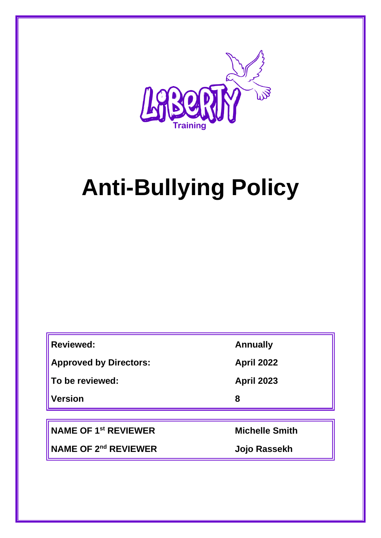

# **Anti-Bullying Policy**

| <b>Reviewed:</b>              | <b>Annually</b>   |
|-------------------------------|-------------------|
| <b>Approved by Directors:</b> | <b>April 2022</b> |
| To be reviewed:               | <b>April 2023</b> |
| <b>Version</b>                | 8                 |
|                               |                   |

**NAME OF 1st REVIEWER Michelle Smith**

**NAME OF 2nd REVIEWER Jojo Rassekh**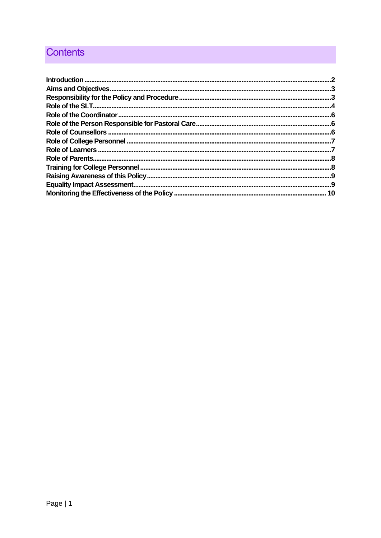# **Contents**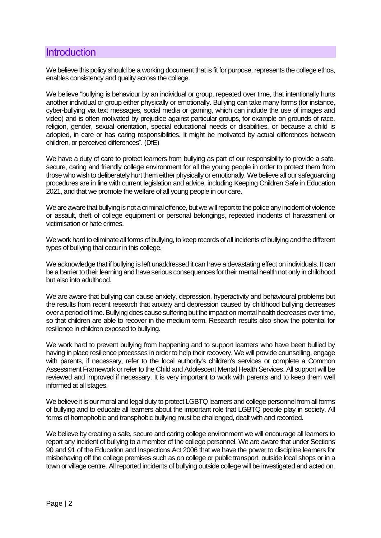## <span id="page-2-0"></span>**Introduction**

We believe this policy should be a working document that is fit for purpose, represents the college ethos, enables consistency and quality across the college.

We believe "bullying is behaviour by an individual or group, repeated over time, that intentionally hurts another individual or group either physically or emotionally. Bullying can take many forms (for instance, cyber-bullying via text messages, social media or gaming, which can include the use of images and video) and is often motivated by prejudice against particular groups, for example on grounds of race, religion, gender, sexual orientation, special educational needs or disabilities, or because a child is adopted, in care or has caring responsibilities. It might be motivated by actual differences between children, or perceived differences". (DfE)

We have a duty of care to protect learners from bullying as part of our responsibility to provide a safe, secure, caring and friendly college environment for all the young people in order to protect them from those who wish to deliberately hurt them either physically or emotionally. We believe all our safeguarding procedures are in line with current legislation and advice, including Keeping Children Safe in Education 2021, and that we promote the welfare of all young people in our care.

We are aware that bullying is not a criminal offence, but we will report to the police any incident of violence or assault, theft of college equipment or personal belongings, repeated incidents of harassment or victimisation or hate crimes.

We work hard to eliminate all forms of bullying, to keep records of all incidents of bullying and the different types of bullying that occur in this college.

We acknowledge that if bullying is left unaddressed it can have a devastating effect on individuals. It can be a barrier to their learning and have serious consequences for their mental health not only in childhood but also into adulthood.

We are aware that bullying can cause anxiety, depression, hyperactivity and behavioural problems but the results from recent research that anxiety and depression caused by childhood bullying decreases over a period of time. Bullying does cause suffering but the impact on mental health decreases over time, so that children are able to recover in the medium term. Research results also show the potential for resilience in children exposed to bullying.

We work hard to prevent bullying from happening and to support learners who have been bullied by having in place resilience processes in order to help their recovery. We will provide counselling, engage with parents, if necessary, refer to the local authority's children's services or complete a Common Assessment Framework or refer to the Child and Adolescent Mental Health Services. All support will be reviewed and improved if necessary. It is very important to work with parents and to keep them well informed at all stages.

We believe it is our moral and legal duty to protect LGBTQ learners and college personnel from all forms of bullying and to educate all learners about the important role that LGBTQ people play in society. All forms of homophobic and transphobic bullying must be challenged, dealt with and recorded.

We believe by creating a safe, secure and caring college environment we will encourage all learners to report any incident of bullying to a member of the college personnel. We are aware that under Sections 90 and 91 of the Education and Inspections Act 2006 that we have the power to discipline learners for misbehaving off the college premises such as on college or public transport, outside local shops or in a town or village centre. All reported incidents of bullying outside college will be investigated and acted on.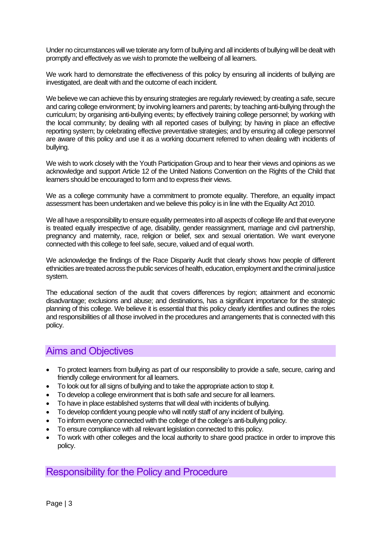Under no circumstances will we tolerate any form of bullying and all incidents of bullying will be dealt with promptly and effectively as we wish to promote the wellbeing of all learners.

We work hard to demonstrate the effectiveness of this policy by ensuring all incidents of bullying are investigated, are dealt with and the outcome of each incident.

We believe we can achieve this by ensuring strategies are regularly reviewed; by creating a safe, secure and caring college environment; by involving learners and parents; by teaching anti-bullying through the curriculum; by organising anti-bullying events; by effectively training college personnel; by working with the local community; by dealing with all reported cases of bullying; by having in place an effective reporting system; by celebrating effective preventative strategies; and by ensuring all college personnel are aware of this policy and use it as a working document referred to when dealing with incidents of bullying.

We wish to work closely with the Youth Participation Group and to hear their views and opinions as we acknowledge and support Article 12 of the United Nations Convention on the Rights of the Child that learners should be encouraged to form and to express their views.

We as a college community have a commitment to promote equality. Therefore, an equality impact assessment has been undertaken and we believe this policy is in line with the Equality Act 2010.

We all have a responsibility to ensure equality permeates into all aspects of college life and that everyone is treated equally irrespective of age, disability, gender reassignment, marriage and civil partnership, pregnancy and maternity, race, religion or belief, sex and sexual orientation. We want everyone connected with this college to feel safe, secure, valued and of equal worth.

We acknowledge the findings of the Race Disparity Audit that clearly shows how people of different ethnicities are treated across the public services of health, education, employment and the criminal justice system.

The educational section of the audit that covers differences by region; attainment and economic disadvantage; exclusions and abuse; and destinations, has a significant importance for the strategic planning of this college. We believe it is essential that this policy clearly identifies and outlines the roles and responsibilities of all those involved in the procedures and arrangements that is connected with this policy.

## <span id="page-3-0"></span>Aims and Objectives

- To protect learners from bullying as part of our responsibility to provide a safe, secure, caring and friendly college environment for all learners.
- To look out for all signs of bullying and to take the appropriate action to stop it.
- To develop a college environment that is both safe and secure for all learners.
- To have in place established systems that will deal with incidents of bullying.
- To develop confident young people who will notify staff of any incident of bullying.
- To inform everyone connected with the college of the college's anti-bullying policy.
- To ensure compliance with all relevant legislation connected to this policy.
- To work with other colleges and the local authority to share good practice in order to improve this policy.

## <span id="page-3-1"></span>Responsibility for the Policy and Procedure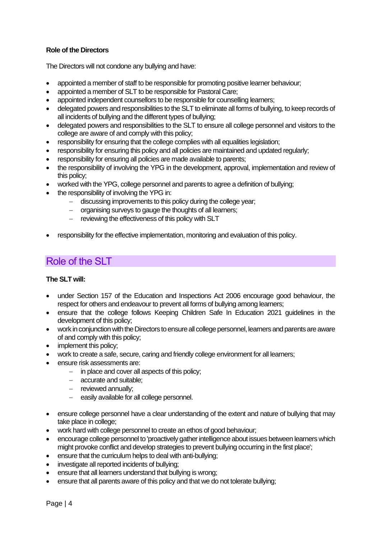### **Role of the Directors**

The Directors will not condone any bullying and have:

- appointed a member of staff to be responsible for promoting positive learner behaviour;
- appointed a member of SLT to be responsible for Pastoral Care;
- appointed independent counsellors to be responsible for counselling learners;
- delegated powers and responsibilities to the SLT to eliminate all forms of bullying, to keep records of all incidents of bullying and the different types of bullying;
- delegated powers and responsibilities to the SLT to ensure all college personnel and visitors to the college are aware of and comply with this policy;
- responsibility for ensuring that the college complies with all equalities legislation;
- responsibility for ensuring this policy and all policies are maintained and updated regularly;
- responsibility for ensuring all policies are made available to parents;
- the responsibility of involving the YPG in the development, approval, implementation and review of this policy;
- worked with the YPG, college personnel and parents to agree a definition of bullying;
- the responsibility of involving the YPG in:
	- − discussing improvements to this policy during the college year;
	- − organising surveys to gauge the thoughts of all learners;
	- − reviewing the effectiveness of this policy with SLT
- responsibility for the effective implementation, monitoring and evaluation of this policy.

## <span id="page-4-0"></span>Role of the SLT

#### **The SLT will:**

- under Section 157 of the Education and Inspections Act 2006 encourage good behaviour, the respect for others and endeavour to prevent all forms of bullying among learners;
- ensure that the college follows Keeping Children Safe In Education 2021 guidelines in the development of this policy;
- work in conjunction with the Directors to ensure all college personnel, learners and parents are aware of and comply with this policy;
- implement this policy;
- work to create a safe, secure, caring and friendly college environment for all learners;
- ensure risk assessments are:
	- − in place and cover all aspects of this policy;
	- − accurate and suitable;
	- − reviewed annually;
	- − easily available for all college personnel.
- ensure college personnel have a clear understanding of the extent and nature of bullying that may take place in college;
- work hard with college personnel to create an ethos of good behaviour;
- encourage college personnel to 'proactively gather intelligence about issues between learners which might provoke conflict and develop strategies to prevent bullying occurring in the first place';
- ensure that the curriculum helps to deal with anti-bullying;
- investigate all reported incidents of bullying;
- ensure that all learners understand that bullying is wrong;
- ensure that all parents aware of this policy and that we do not tolerate bullying;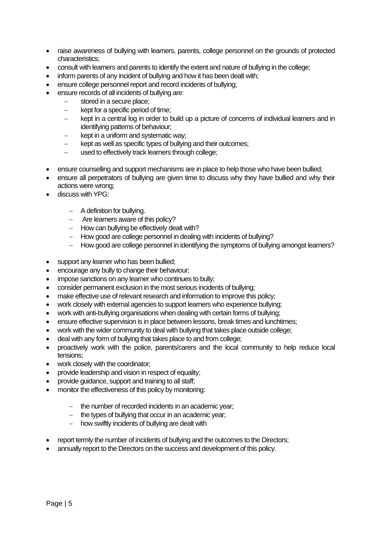- raise awareness of bullying with learners, parents, college personnel on the grounds of protected characteristics;
- consult with learners and parents to identify the extent and nature of bullying in the college;
- inform parents of any incident of bullying and how it has been dealt with;
- ensure college personnel report and record incidents of bullying:
- ensure records of all incidents of bullying are:
	- − stored in a secure place;
	- − kept for a specific period of time;
	- − kept in a central log in order to build up a picture of concerns of individual learners and in identifying patterns of behaviour;
	- kept in a uniform and systematic way;
	- kept as well as specific types of bullying and their outcomes:
	- − used to effectively track learners through college;
- ensure counselling and support mechanisms are in place to help those who have been bullied;
- ensure all perpetrators of bullying are given time to discuss why they have bullied and why their actions were wrong;
- discuss with YPG:
	- − A definition for bullying.
	- − Are learners aware of this policy?
	- − How can bullying be effectively dealt with?
	- − How good are college personnel in dealing with incidents of bullying?
	- − How good are college personnel in identifying the symptoms of bullying amongst learners?
- support any learner who has been bullied;
- encourage any bully to change their behaviour;
- impose sanctions on any learner who continues to bully;
- consider permanent exclusion in the most serious incidents of bullying;
- make effective use of relevant research and information to improve this policy;
- work closely with external agencies to support learners who experience bullying;
- work with anti-bullying organisations when dealing with certain forms of bullying;
- ensure effective supervision is in place between lessons, break times and lunchtimes;
- work with the wider community to deal with bullying that takes place outside college;
- deal with any form of bullying that takes place to and from college;
- proactively work with the police, parents/carers and the local community to help reduce local tensions;
- work closely with the coordinator;
- provide leadership and vision in respect of equality;
- provide guidance, support and training to all staff;
- monitor the effectiveness of this policy by monitoring:
	- − the number of recorded incidents in an academic year;
	- − the types of bullying that occur in an academic year;
	- − how swiftly incidents of bullying are dealt with
- report termly the number of incidents of bullying and the outcomes to the Directors;
- annually report to the Directors on the success and development of this policy.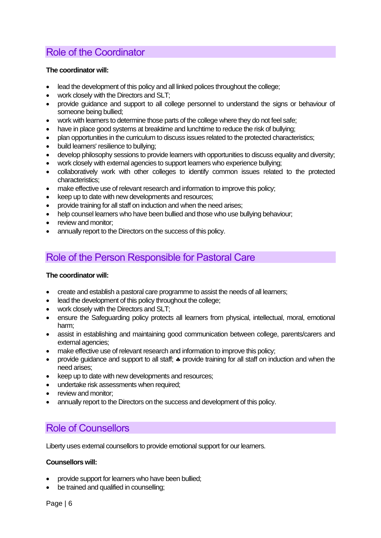# <span id="page-6-0"></span>Role of the Coordinator

#### **The coordinator will:**

- lead the development of this policy and all linked polices throughout the college;
- work closely with the Directors and SLT;
- provide guidance and support to all college personnel to understand the signs or behaviour of someone being bullied;
- work with learners to determine those parts of the college where they do not feel safe;
- have in place good systems at breaktime and lunchtime to reduce the risk of bullying;
- plan opportunities in the curriculum to discuss issues related to the protected characteristics;
- build learners' resilience to bullying;
- develop philosophy sessions to provide learners with opportunities to discuss equality and diversity;
- work closely with external agencies to support learners who experience bullying;
- collaboratively work with other colleges to identify common issues related to the protected characteristics;
- make effective use of relevant research and information to improve this policy;
- keep up to date with new developments and resources;
- provide training for all staff on induction and when the need arises;
- help counsel learners who have been bullied and those who use bullying behaviour;
- review and monitor:
- annually report to the Directors on the success of this policy.

# <span id="page-6-1"></span>Role of the Person Responsible for Pastoral Care

#### **The coordinator will:**

- create and establish a pastoral care programme to assist the needs of all learners;
- lead the development of this policy throughout the college:
- work closely with the Directors and SLT;
- ensure the Safeguarding policy protects all learners from physical, intellectual, moral, emotional harm;
- assist in establishing and maintaining good communication between college, parents/carers and external agencies;
- make effective use of relevant research and information to improve this policy;
- provide guidance and support to all staff;  $\clubsuit$  provide training for all staff on induction and when the need arises;
- keep up to date with new developments and resources;
- undertake risk assessments when required;
- review and monitor:
- annually report to the Directors on the success and development of this policy.

## <span id="page-6-2"></span>Role of Counsellors

Liberty uses external counsellors to provide emotional support for our learners.

### **Counsellors will:**

- provide support for learners who have been bullied;
- be trained and qualified in counselling: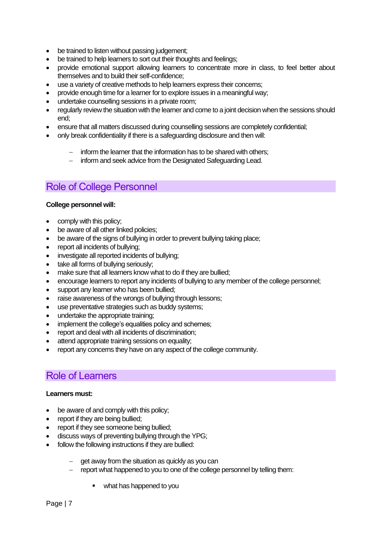- be trained to listen without passing judgement;
- be trained to help learners to sort out their thoughts and feelings;
- provide emotional support allowing learners to concentrate more in class, to feel better about themselves and to build their self-confidence;
- use a variety of creative methods to help learners express their concerns;
- provide enough time for a learner for to explore issues in a meaningful way;
- undertake counselling sessions in a private room;
- regularly review the situation with the learner and come to a joint decision when the sessions should end;
- ensure that all matters discussed during counselling sessions are completely confidential;
- only break confidentiality if there is a safeguarding disclosure and then will:
	- inform the learner that the information has to be shared with others;
	- − inform and seek advice from the Designated Safeguarding Lead.

## <span id="page-7-0"></span>Role of College Personnel

#### **College personnel will:**

- comply with this policy;
- be aware of all other linked policies;
- be aware of the signs of bullying in order to prevent bullying taking place;
- report all incidents of bullying;
- investigate all reported incidents of bullying:
- take all forms of bullying seriously;
- make sure that all learners know what to do if they are bullied;
- encourage learners to report any incidents of bullying to any member of the college personnel;
- support any learner who has been bullied;
- raise awareness of the wrongs of bullying through lessons;
- use preventative strategies such as buddy systems:
- undertake the appropriate training;
- implement the college's equalities policy and schemes;
- report and deal with all incidents of discrimination;
- attend appropriate training sessions on equality;
- report any concerns they have on any aspect of the college community.

## <span id="page-7-1"></span>Role of Learners

#### **Learners must:**

- be aware of and comply with this policy;
- report if they are being bullied;
- report if they see someone being bullied:
- discuss ways of preventing bullying through the YPG;
- follow the following instructions if they are bullied:
	- qet away from the situation as quickly as you can
	- report what happened to you to one of the college personnel by telling them:
		- what has happened to you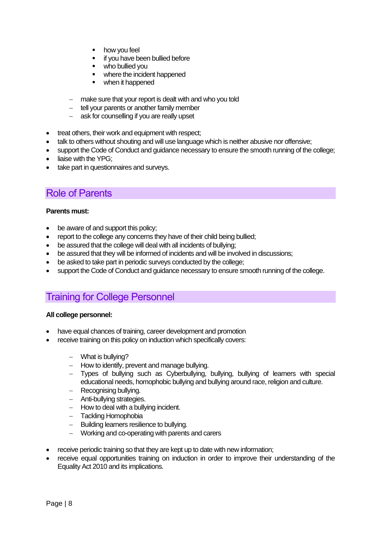- how you feel
- if you have been bullied before
- who bullied you
- where the incident happened
- when it happened
- − make sure that your report is dealt with and who you told
- − tell your parents or another family member
- − ask for counselling if you are really upset
- treat others, their work and equipment with respect;
- talk to others without shouting and will use language which is neither abusive nor offensive;
- support the Code of Conduct and guidance necessary to ensure the smooth running of the college;
- liaise with the YPG:
- take part in questionnaires and surveys.

## <span id="page-8-0"></span>Role of Parents

#### **Parents must:**

- be aware of and support this policy;
- report to the college any concerns they have of their child being bullied;
- be assured that the college will deal with all incidents of bullying;
- be assured that they will be informed of incidents and will be involved in discussions;
- be asked to take part in periodic surveys conducted by the college;
- support the Code of Conduct and guidance necessary to ensure smooth running of the college.

## <span id="page-8-1"></span>Training for College Personnel

#### **All college personnel:**

- have equal chances of training, career development and promotion
- receive training on this policy on induction which specifically covers:
	- − What is bullying?
	- − How to identify, prevent and manage bullying.
	- − Types of bullying such as Cyberbullying, bullying, bullying of learners with special educational needs, homophobic bullying and bullying around race, religion and culture.
	- − Recognising bullying.
	- − Anti-bullying strategies.
	- − How to deal with a bullying incident.
	- − Tackling Homophobia
	- − Building learners resilience to bullying.
	- − Working and co-operating with parents and carers
- receive periodic training so that they are kept up to date with new information;
- receive equal opportunities training on induction in order to improve their understanding of the Equality Act 2010 and its implications.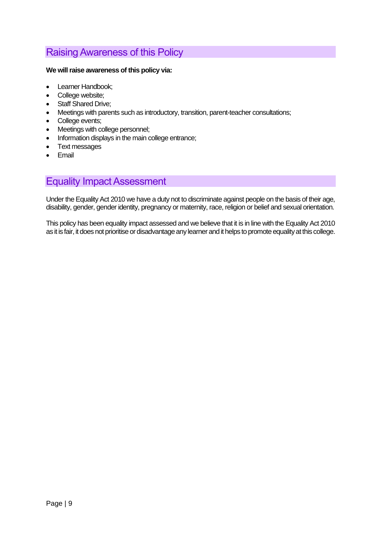## <span id="page-9-0"></span>Raising Awareness of this Policy

#### **We will raise awareness of this policy via:**

- Learner Handbook;
- College website;
- Staff Shared Drive;
- Meetings with parents such as introductory, transition, parent-teacher consultations;
- College events;
- Meetings with college personnel;
- Information displays in the main college entrance:
- Text messages
- Email

# <span id="page-9-1"></span>Equality Impact Assessment

Under the Equality Act 2010 we have a duty not to discriminate against people on the basis of their age, disability, gender, gender identity, pregnancy or maternity, race, religion or belief and sexual orientation.

This policy has been equality impact assessed and we believe that it is in line with the Equality Act 2010 as it is fair, it does not prioritise or disadvantage any learner and it helps to promote equality at this college.